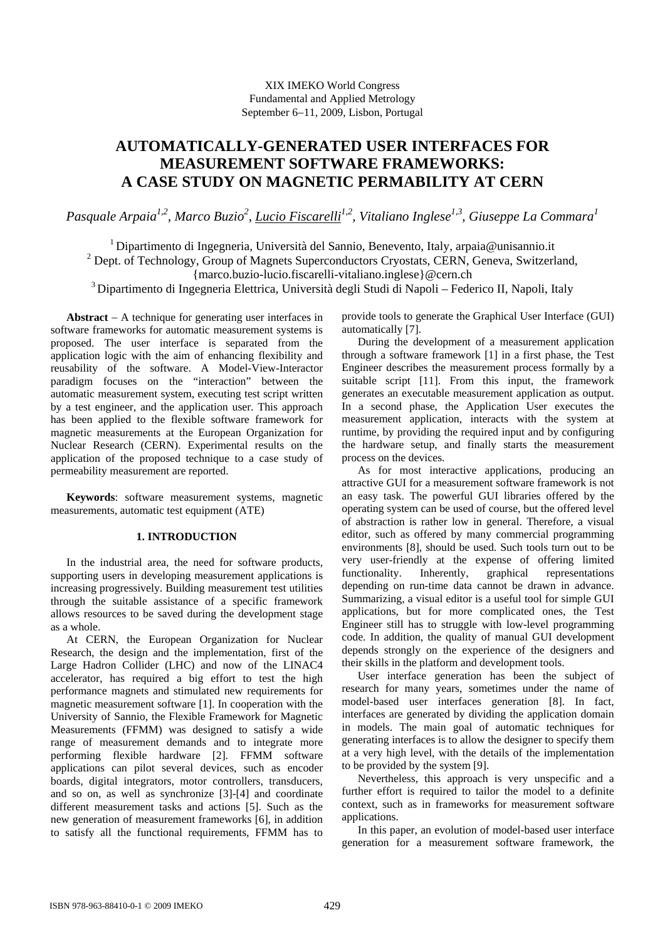# XIX IMEKO World Congress Fundamental and Applied Metrology September 6−11, 2009, Lisbon, Portugal

# **AUTOMATICALLY-GENERATED USER INTERFACES FOR MEASUREMENT SOFTWARE FRAMEWORKS: A CASE STUDY ON MAGNETIC PERMABILITY AT CERN**

Pasquale Arpaia<sup>1,2</sup>, Marco Buzio<sup>2</sup>, <u>Lucio Fiscarelli<sup>1,2</sup>,</u> Vitaliano Inglese<sup>1,3</sup>, Giuseppe La Commara<sup>1</sup>

<sup>1</sup> Dipartimento di Ingegneria, Università del Sannio, Benevento, Italy, arpaia@unisannio.it <sup>2</sup> Dept. of Technology, Group of Magnets Superconductors Cryostats, CERN, Geneva, Switzerland, {marco.buzio-lucio.fiscarelli-vitaliano.inglese}@cern.ch 3 Dipartimento di Ingegneria Elettrica, Università degli Studi di Napoli – Federico II, Napoli, Italy

**Abstract** − A technique for generating user interfaces in software frameworks for automatic measurement systems is proposed. The user interface is separated from the application logic with the aim of enhancing flexibility and reusability of the software. A Model-View-Interactor paradigm focuses on the "interaction" between the automatic measurement system, executing test script written by a test engineer, and the application user. This approach has been applied to the flexible software framework for magnetic measurements at the European Organization for Nuclear Research (CERN). Experimental results on the application of the proposed technique to a case study of permeability measurement are reported.

**Keywords**: software measurement systems, magnetic measurements, automatic test equipment (ATE)

# **1. INTRODUCTION**

In the industrial area, the need for software products, supporting users in developing measurement applications is increasing progressively. Building measurement test utilities through the suitable assistance of a specific framework allows resources to be saved during the development stage as a whole.

At CERN, the European Organization for Nuclear Research, the design and the implementation, first of the Large Hadron Collider (LHC) and now of the LINAC4 accelerator, has required a big effort to test the high performance magnets and stimulated new requirements for magnetic measurement software [1]. In cooperation with the University of Sannio, the Flexible Framework for Magnetic Measurements (FFMM) was designed to satisfy a wide range of measurement demands and to integrate more performing flexible hardware [2]. FFMM software applications can pilot several devices, such as encoder boards, digital integrators, motor controllers, transducers, and so on, as well as synchronize [3]-[4] and coordinate different measurement tasks and actions [5]. Such as the new generation of measurement frameworks [6], in addition to satisfy all the functional requirements, FFMM has to

provide tools to generate the Graphical User Interface (GUI) automatically [7].

During the development of a measurement application through a software framework [1] in a first phase, the Test Engineer describes the measurement process formally by a suitable script [11]. From this input, the framework generates an executable measurement application as output. In a second phase, the Application User executes the measurement application, interacts with the system at runtime, by providing the required input and by configuring the hardware setup, and finally starts the measurement process on the devices.

As for most interactive applications, producing an attractive GUI for a measurement software framework is not an easy task. The powerful GUI libraries offered by the operating system can be used of course, but the offered level of abstraction is rather low in general. Therefore, a visual editor, such as offered by many commercial programming environments [8], should be used. Such tools turn out to be very user-friendly at the expense of offering limited functionality. Inherently, graphical representations depending on run-time data cannot be drawn in advance. Summarizing, a visual editor is a useful tool for simple GUI applications, but for more complicated ones, the Test Engineer still has to struggle with low-level programming code. In addition, the quality of manual GUI development depends strongly on the experience of the designers and their skills in the platform and development tools.

User interface generation has been the subject of research for many years, sometimes under the name of model-based user interfaces generation [8]. In fact, interfaces are generated by dividing the application domain in models. The main goal of automatic techniques for generating interfaces is to allow the designer to specify them at a very high level, with the details of the implementation to be provided by the system [9].

Nevertheless, this approach is very unspecific and a further effort is required to tailor the model to a definite context, such as in frameworks for measurement software applications.

In this paper, an evolution of model-based user interface generation for a measurement software framework, the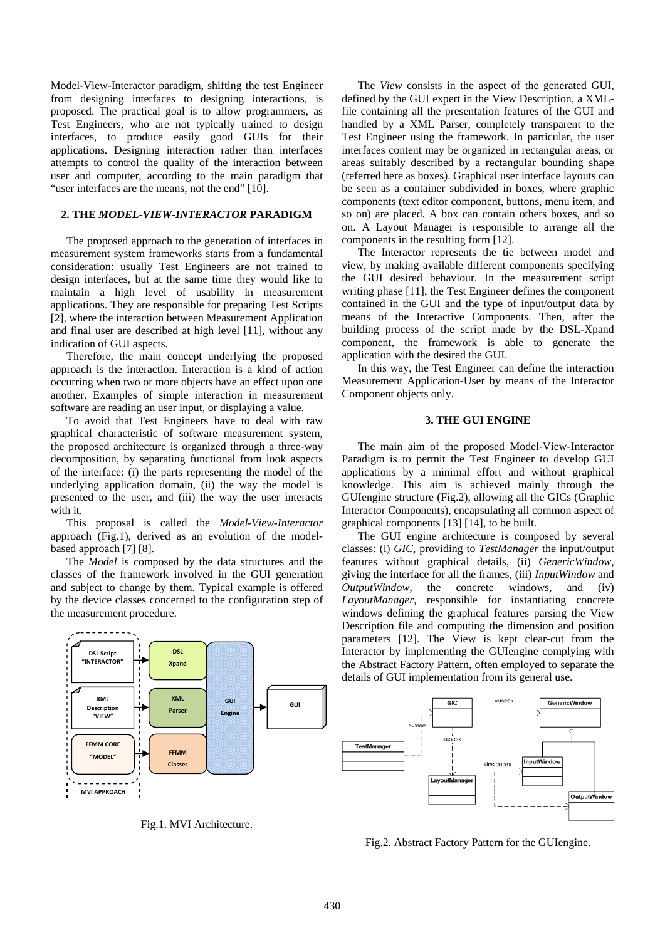Model-View-Interactor paradigm, shifting the test Engineer from designing interfaces to designing interactions, is proposed. The practical goal is to allow programmers, as Test Engineers, who are not typically trained to design interfaces, to produce easily good GUIs for their applications. Designing interaction rather than interfaces attempts to control the quality of the interaction between user and computer, according to the main paradigm that "user interfaces are the means, not the end" [10].

### **2. THE** *MODEL-VIEW-INTERACTOR* **PARADIGM**

The proposed approach to the generation of interfaces in measurement system frameworks starts from a fundamental consideration: usually Test Engineers are not trained to design interfaces, but at the same time they would like to maintain a high level of usability in measurement applications. They are responsible for preparing Test Scripts [2], where the interaction between Measurement Application and final user are described at high level [11], without any indication of GUI aspects.

Therefore, the main concept underlying the proposed approach is the interaction. Interaction is a kind of action occurring when two or more objects have an effect upon one another. Examples of simple interaction in measurement software are reading an user input, or displaying a value.

To avoid that Test Engineers have to deal with raw graphical characteristic of software measurement system, the proposed architecture is organized through a three-way decomposition, by separating functional from look aspects of the interface: (i) the parts representing the model of the underlying application domain, (ii) the way the model is presented to the user, and (iii) the way the user interacts with it.

This proposal is called the *Model-View-Interactor*  approach (Fig.1), derived as an evolution of the modelbased approach [7] [8].

The *Model* is composed by the data structures and the classes of the framework involved in the GUI generation and subject to change by them. Typical example is offered by the device classes concerned to the configuration step of the measurement procedure.

---------**DSL DSL Script "INTERACTOR" Xpand XML XML GUI GUI Description Parser Engine "VIEW" FFMM CORE FFMM "MODEL" Classes MVI APPROACH**

Fig.1. MVI Architecture.

The *View* consists in the aspect of the generated GUI, defined by the GUI expert in the View Description, a XMLfile containing all the presentation features of the GUI and handled by a XML Parser, completely transparent to the Test Engineer using the framework. In particular, the user interfaces content may be organized in rectangular areas, or areas suitably described by a rectangular bounding shape (referred here as boxes). Graphical user interface layouts can be seen as a container subdivided in boxes, where graphic components (text editor component, buttons, menu item, and so on) are placed. A box can contain others boxes, and so on. A Layout Manager is responsible to arrange all the components in the resulting form [12].

The Interactor represents the tie between model and view, by making available different components specifying the GUI desired behaviour. In the measurement script writing phase [11], the Test Engineer defines the component contained in the GUI and the type of input/output data by means of the Interactive Components. Then, after the building process of the script made by the DSL-Xpand component, the framework is able to generate the application with the desired the GUI.

In this way, the Test Engineer can define the interaction Measurement Application-User by means of the Interactor Component objects only.

#### **3. THE GUI ENGINE**

The main aim of the proposed Model-View-Interactor Paradigm is to permit the Test Engineer to develop GUI applications by a minimal effort and without graphical knowledge. This aim is achieved mainly through the GUIengine structure (Fig.2), allowing all the GICs (Graphic Interactor Components), encapsulating all common aspect of graphical components [13] [14], to be built.

The GUI engine architecture is composed by several classes: (i) *GIC,* providing to *TestManager* the input/output features without graphical details, (ii) *GenericWindow,* giving the interface for all the frames, (iii) *InputWindow* and *OutputWindow,* the concrete windows, and (iv) *LayoutManager,* responsible for instantiating concrete windows defining the graphical features parsing the View Description file and computing the dimension and position parameters [12]. The View is kept clear-cut from the Interactor by implementing the GUIengine complying with the Abstract Factory Pattern, often employed to separate the details of GUI implementation from its general use.



Fig.2. Abstract Factory Pattern for the GUIengine.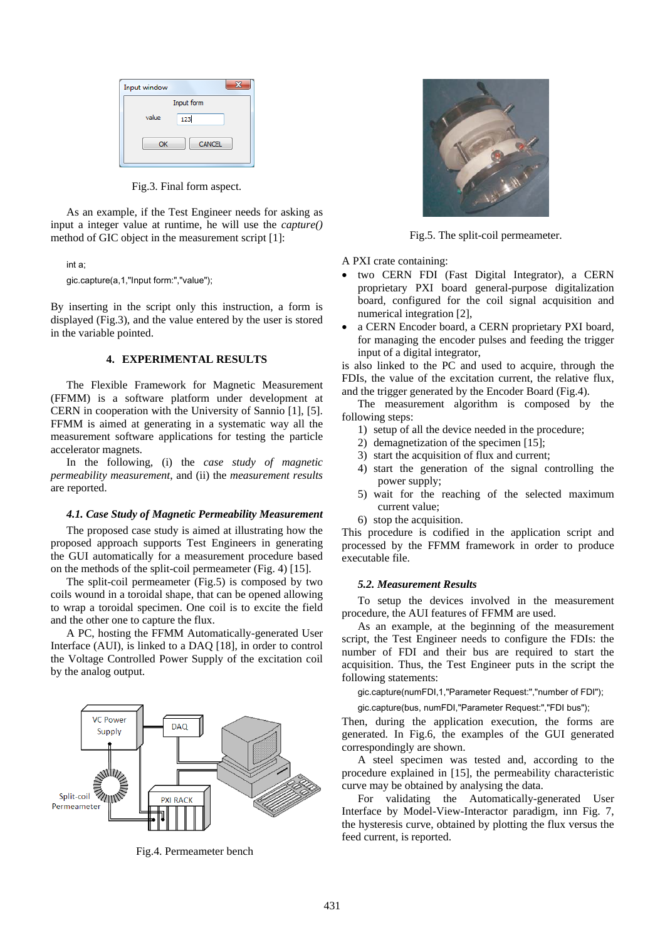| Input window |               |  |
|--------------|---------------|--|
| Input form   |               |  |
| value        | 123           |  |
| OK           | <b>CANCEL</b> |  |

Fig.3. Final form aspect.

As an example, if the Test Engineer needs for asking as input a integer value at runtime, he will use the *capture()* method of GIC object in the measurement script [1]:

int a; gic.capture(a,1,"Input form:","value");

By inserting in the script only this instruction, a form is displayed (Fig.3), and the value entered by the user is stored in the variable pointed.

## **4. EXPERIMENTAL RESULTS**

The Flexible Framework for Magnetic Measurement (FFMM) is a software platform under development at CERN in cooperation with the University of Sannio [1], [5]. FFMM is aimed at generating in a systematic way all the measurement software applications for testing the particle accelerator magnets.

In the following, (i) the *case study of magnetic permeability measurement*, and (ii) the *measurement results* are reported.

#### *4.1. Case Study of Magnetic Permeability Measurement*

The proposed case study is aimed at illustrating how the proposed approach supports Test Engineers in generating the GUI automatically for a measurement procedure based on the methods of the split-coil permeameter (Fig. 4) [15].

The split-coil permeameter (Fig.5) is composed by two coils wound in a toroidal shape, that can be opened allowing to wrap a toroidal specimen. One coil is to excite the field and the other one to capture the flux.

A PC, hosting the FFMM Automatically-generated User Interface (AUI), is linked to a DAQ [18], in order to control the Voltage Controlled Power Supply of the excitation coil by the analog output.



Fig.4. Permeameter bench



Fig.5. The split-coil permeameter.

A PXI crate containing:

- two CERN FDI (Fast Digital Integrator), a CERN proprietary PXI board general-purpose digitalization board, configured for the coil signal acquisition and numerical integration [2],
- a CERN Encoder board, a CERN proprietary PXI board, for managing the encoder pulses and feeding the trigger input of a digital integrator,

is also linked to the PC and used to acquire, through the FDIs, the value of the excitation current, the relative flux, and the trigger generated by the Encoder Board (Fig.4).

The measurement algorithm is composed by the following steps:

- 1) setup of all the device needed in the procedure;
- 2) demagnetization of the specimen [15];
- 3) start the acquisition of flux and current;
- 4) start the generation of the signal controlling the power supply;
- 5) wait for the reaching of the selected maximum current value;
- 6) stop the acquisition.

This procedure is codified in the application script and processed by the FFMM framework in order to produce executable file.

# *5.2. Measurement Results*

To setup the devices involved in the measurement procedure, the AUI features of FFMM are used.

As an example, at the beginning of the measurement script, the Test Engineer needs to configure the FDIs: the number of FDI and their bus are required to start the acquisition. Thus, the Test Engineer puts in the script the following statements:

gic.capture(numFDI,1,"Parameter Request:","number of FDI");

gic.capture(bus, numFDI,"Parameter Request:","FDI bus");

Then, during the application execution, the forms are generated. In Fig.6, the examples of the GUI generated correspondingly are shown.

A steel specimen was tested and, according to the procedure explained in [15], the permeability characteristic curve may be obtained by analysing the data.

For validating the Automatically-generated User Interface by Model-View-Interactor paradigm, inn Fig. 7, the hysteresis curve, obtained by plotting the flux versus the feed current, is reported.